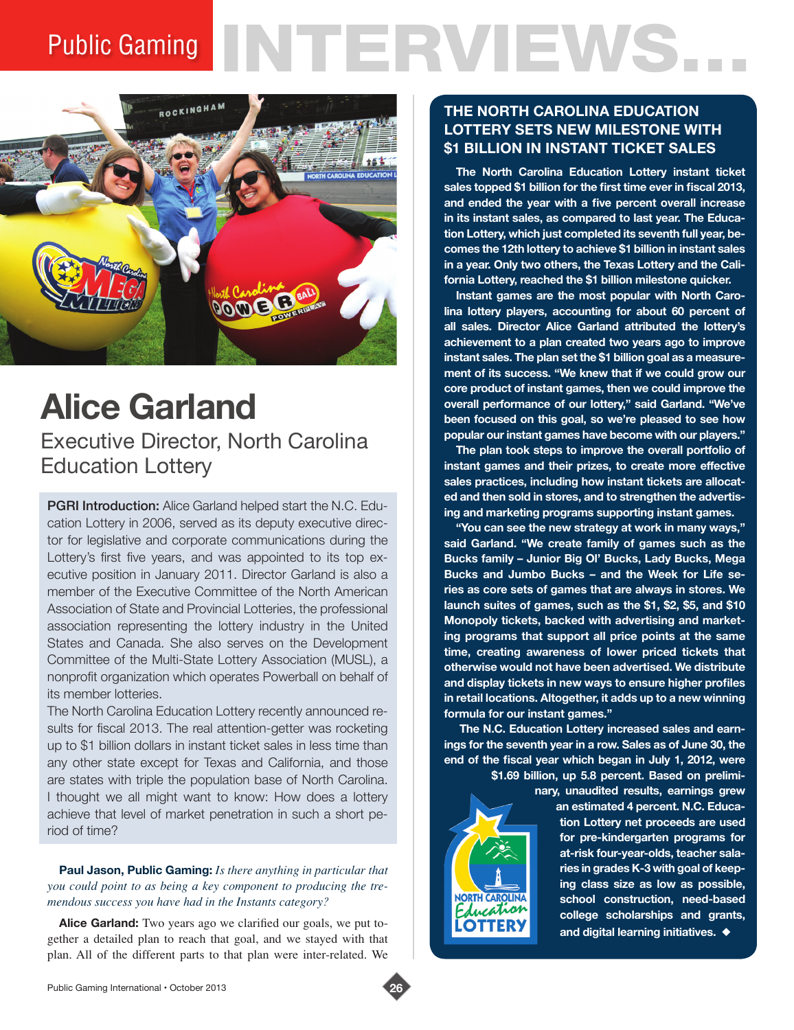# Public Gaming NTERVIEWS



## **Alice Garland**

Executive Director, North Carolina Education Lottery

PGRI Introduction: Alice Garland helped start the N.C. Education Lottery in 2006, served as its deputy executive director for legislative and corporate communications during the Lottery's first five years, and was appointed to its top executive position in January 2011. Director Garland is also a member of the Executive Committee of the North American Association of State and Provincial Lotteries, the professional association representing the lottery industry in the United States and Canada. She also serves on the Development Committee of the Multi-State Lottery Association (MUSL), a nonprofit organization which operates Powerball on behalf of its member lotteries.

The North Carolina Education Lottery recently announced results for fiscal 2013. The real attention-getter was rocketing up to \$1 billion dollars in instant ticket sales in less time than any other state except for Texas and California, and those are states with triple the population base of North Carolina. I thought we all might want to know: How does a lottery achieve that level of market penetration in such a short period of time?

#### **Paul Jason, Public Gaming:** *Is there anything in particular that you could point to as being a key component to producing the tremendous success you have had in the Instants category?*

**Alice Garland:** Two years ago we clarified our goals, we put together a detailed plan to reach that goal, and we stayed with that plan. All of the different parts to that plan were inter-related. We

### **THE NORTH CAROLINA EDUCATION LOTTERY SETS NEW MILESTONE WITH \$1 BILLION IN INSTANT TICKET SALES**

**The North Carolina Education Lottery instant ticket sales topped \$1 billion for the first time ever in fiscal 2013, and ended the year with a five percent overall increase in its instant sales, as compared to last year. The Education Lottery, which just completed its seventh full year, becomes the 12th lottery to achieve \$1 billion in instant sales in a year. Only two others, the Texas Lottery and the California Lottery, reached the \$1 billion milestone quicker.** 

**Instant games are the most popular with North Carolina lottery players, accounting for about 60 percent of all sales. Director Alice Garland attributed the lottery's achievement to a plan created two years ago to improve instant sales. The plan set the \$1 billion goal as a measurement of its success. "We knew that if we could grow our core product of instant games, then we could improve the overall performance of our lottery," said Garland. "We've been focused on this goal, so we're pleased to see how popular our instant games have become with our players."**

**The plan took steps to improve the overall portfolio of instant games and their prizes, to create more effective sales practices, including how instant tickets are allocated and then sold in stores, and to strengthen the advertising and marketing programs supporting instant games.**

**"You can see the new strategy at work in many ways," said Garland. "We create family of games such as the Bucks family – Junior Big Ol' Bucks, Lady Bucks, Mega Bucks and Jumbo Bucks – and the Week for Life series as core sets of games that are always in stores. We launch suites of games, such as the \$1, \$2, \$5, and \$10 Monopoly tickets, backed with advertising and marketing programs that support all price points at the same time, creating awareness of lower priced tickets that otherwise would not have been advertised. We distribute and display tickets in new ways to ensure higher profiles in retail locations. Altogether, it adds up to a new winning formula for our instant games."**

**The N.C. Education Lottery increased sales and earnings for the seventh year in a row. Sales as of June 30, the end of the fiscal year which began in July 1, 2012, were \$1.69 billion, up 5.8 percent. Based on prelimi-**

**nary, unaudited results, earnings grew** 



**an estimated 4 percent. N.C. Education Lottery net proceeds are used for pre-kindergarten programs for at-risk four-year-olds, teacher salaries in grades K-3 with goal of keeping class size as low as possible, school construction, need-based college scholarships and grants,**  and digital learning initiatives.  $\blacklozenge$ 

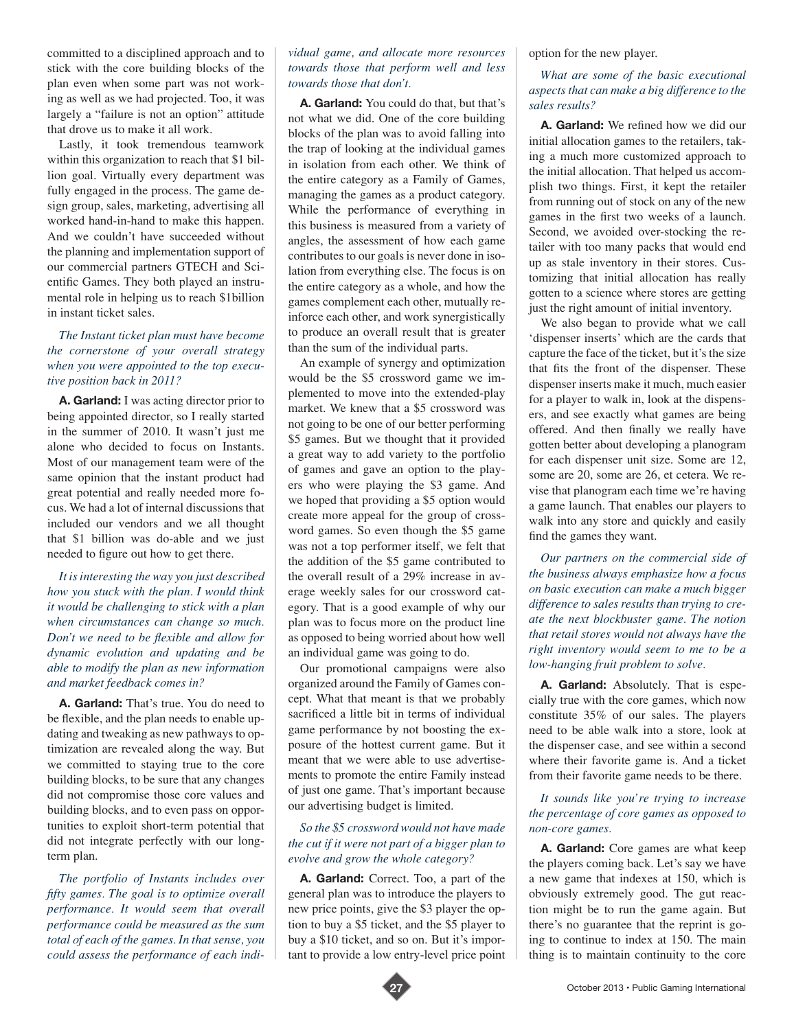committed to a disciplined approach and to stick with the core building blocks of the plan even when some part was not working as well as we had projected. Too, it was largely a "failure is not an option" attitude that drove us to make it all work.

Lastly, it took tremendous teamwork within this organization to reach that \$1 billion goal. Virtually every department was fully engaged in the process. The game design group, sales, marketing, advertising all worked hand-in-hand to make this happen. And we couldn't have succeeded without the planning and implementation support of our commercial partners GTECH and Scientific Games. They both played an instrumental role in helping us to reach \$1billion in instant ticket sales.

#### *The Instant ticket plan must have become the cornerstone of your overall strategy when you were appointed to the top executive position back in 2011?*

**A. Garland:** I was acting director prior to being appointed director, so I really started in the summer of 2010. It wasn't just me alone who decided to focus on Instants. Most of our management team were of the same opinion that the instant product had great potential and really needed more focus. We had a lot of internal discussions that included our vendors and we all thought that \$1 billion was do-able and we just needed to figure out how to get there.

*It is interesting the way you just described how you stuck with the plan. I would think it would be challenging to stick with a plan when circumstances can change so much. Don't we need to be flexible and allow for dynamic evolution and updating and be able to modify the plan as new information and market feedback comes in?* 

**A. Garland:** That's true. You do need to be flexible, and the plan needs to enable updating and tweaking as new pathways to optimization are revealed along the way. But we committed to staying true to the core building blocks, to be sure that any changes did not compromise those core values and building blocks, and to even pass on opportunities to exploit short-term potential that did not integrate perfectly with our longterm plan.

*The portfolio of Instants includes over fifty games. The goal is to optimize overall performance. It would seem that overall performance could be measured as the sum total of each of the games. In that sense, you could assess the performance of each indi-*

#### *vidual game, and allocate more resources towards those that perform well and less towards those that don't.*

**A. Garland:** You could do that, but that's not what we did. One of the core building blocks of the plan was to avoid falling into the trap of looking at the individual games in isolation from each other. We think of the entire category as a Family of Games, managing the games as a product category. While the performance of everything in this business is measured from a variety of angles, the assessment of how each game contributes to our goals is never done in isolation from everything else. The focus is on the entire category as a whole, and how the games complement each other, mutually reinforce each other, and work synergistically to produce an overall result that is greater than the sum of the individual parts.

An example of synergy and optimization would be the \$5 crossword game we implemented to move into the extended-play market. We knew that a \$5 crossword was not going to be one of our better performing \$5 games. But we thought that it provided a great way to add variety to the portfolio of games and gave an option to the players who were playing the \$3 game. And we hoped that providing a \$5 option would create more appeal for the group of crossword games. So even though the \$5 game was not a top performer itself, we felt that the addition of the \$5 game contributed to the overall result of a 29% increase in average weekly sales for our crossword category. That is a good example of why our plan was to focus more on the product line as opposed to being worried about how well an individual game was going to do.

Our promotional campaigns were also organized around the Family of Games concept. What that meant is that we probably sacrificed a little bit in terms of individual game performance by not boosting the exposure of the hottest current game. But it meant that we were able to use advertisements to promote the entire Family instead of just one game. That's important because our advertising budget is limited.

#### *So the \$5 crossword would not have made the cut if it were not part of a bigger plan to evolve and grow the whole category?*

**A. Garland:** Correct. Too, a part of the general plan was to introduce the players to new price points, give the \$3 player the option to buy a \$5 ticket, and the \$5 player to buy a \$10 ticket, and so on. But it's important to provide a low entry-level price point

option for the new player.

#### *What are some of the basic executional aspects that can make a big difference to the sales results?*

**A. Garland:** We refined how we did our initial allocation games to the retailers, taking a much more customized approach to the initial allocation. That helped us accomplish two things. First, it kept the retailer from running out of stock on any of the new games in the first two weeks of a launch. Second, we avoided over-stocking the retailer with too many packs that would end up as stale inventory in their stores. Customizing that initial allocation has really gotten to a science where stores are getting just the right amount of initial inventory.

We also began to provide what we call 'dispenser inserts' which are the cards that capture the face of the ticket, but it's the size that fits the front of the dispenser. These dispenser inserts make it much, much easier for a player to walk in, look at the dispensers, and see exactly what games are being offered. And then finally we really have gotten better about developing a planogram for each dispenser unit size. Some are 12, some are 20, some are 26, et cetera. We revise that planogram each time we're having a game launch. That enables our players to walk into any store and quickly and easily find the games they want.

*Our partners on the commercial side of the business always emphasize how a focus on basic execution can make a much bigger difference to sales results than trying to create the next blockbuster game. The notion that retail stores would not always have the right inventory would seem to me to be a low-hanging fruit problem to solve.* 

**A. Garland:** Absolutely. That is especially true with the core games, which now constitute 35% of our sales. The players need to be able walk into a store, look at the dispenser case, and see within a second where their favorite game is. And a ticket from their favorite game needs to be there.

#### *It sounds like you're trying to increase the percentage of core games as opposed to non-core games.*

**A. Garland:** Core games are what keep the players coming back. Let's say we have a new game that indexes at 150, which is obviously extremely good. The gut reaction might be to run the game again. But there's no guarantee that the reprint is going to continue to index at 150. The main thing is to maintain continuity to the core